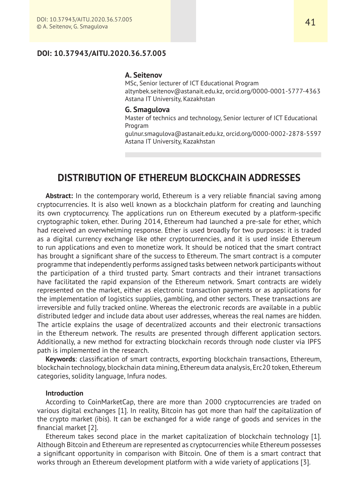# **DOI: 10.37943/AITU.2020.36.57.005**

### **A. Seitenov**

MSc, Senior lecturer of ICT Educational Program altynbek.seitenov@astanait.edu.kz, orcid.org/0000-0001-5777-4363 Astana IT University, Kazakhstan

# **G. Smagulova**

Master of technics and technology, Senior lecturer of ICT Educational Program

gulnur.smagulova@astanait.edu.kz, orcid.org/0000-0002-2878-5597 Astana IT University, Kazakhstan

# **DISTRIBUTION OF ETHEREUM BLOCKCHAIN ADDRESSES**

Abstract: In the contemporary world, Ethereum is a very reliable financial saving among cryptocurrencies. It is also well known as a blockchain platform for creating and launching its own cryptocurrency. The applications run on Ethereum executed by a platform-specific cryptographic token, ether. During 2014, Ethereum had launched a pre-sale for ether, which had received an overwhelming response. Ether is used broadly for two purposes: it is traded as a digital currency exchange like other cryptocurrencies, and it is used inside Ethereum to run applications and even to monetize work. It should be noticed that the smart contract has brought a significant share of the success to Ethereum. The smart contract is a computer programme that independently performs assigned tasks between network participants without the participation of a third trusted party. Smart contracts and their intranet transactions have facilitated the rapid expansion of the Ethereum network. Smart contracts are widely represented on the market, either as electronic transaction payments or as applications for the implementation of logistics supplies, gambling, and other sectors. These transactions are irreversible and fully tracked online. Whereas the electronic records are available in a public distributed ledger and include data about user addresses, whereas the real names are hidden. The article explains the usage of decentralized accounts and their electronic transactions in the Ethereum network. The results are presented through different application sectors. Additionally, a new method for extracting blockchain records through node cluster via IPFS path is implemented in the research.

**Keywords**: classification of smart contracts, exporting blockchain transactions, Ethereum, blockchain technology, blockchain data mining, Ethereum data analysis, Erc20 token, Ethereum categories, solidity language, Infura nodes.

# **Introduction**

According to CoinMarketCap, there are more than 2000 cryptocurrencies are traded on various digital exchanges [1]. In reality, Bitcoin has got more than half the capitalization of the crypto market (ibis). It can be exchanged for a wide range of goods and services in the financial market [2].

Ethereum takes second place in the market capitalization of blockchain technology [1]. Although Bitcoin and Ethereum are represented as cryptocurrencies while Ethereum possesses a significant opportunity in comparison with Bitcoin. One of them is a smart contract that works through an Ethereum development platform with a wide variety of applications [3].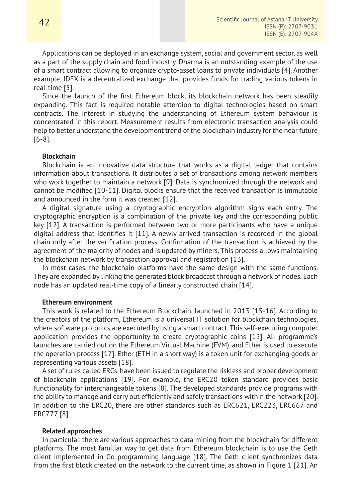Applications can be deployed in an exchange system, social and government sector, as well as a part of the supply chain and food industry. Dharma is an outstanding example of the use of a smart contract allowing to organize crypto-asset loans to private individuals [4]. Another example, IDEX is a decentralized exchange that provides funds for trading various tokens in real-time [5].

Since the launch of the first Ethereum block, its blockchain network has been steadily expanding. This fact is required notable attention to digital technologies based on smart contracts. The interest in studying the understanding of Ethereum system behaviour is concentrated in this report. Measurement results from electronic transaction analysis could help to better understand the development trend of the blockchain industry for the near future [6-8].

# **Blockchain**

Blockchain is an innovative data structure that works as a digital ledger that contains information about transactions. It distributes a set of transactions among network members who work together to maintain a network [9]. Data is synchronized through the network and cannot be modified [10-11]. Digital blocks ensure that the received transaction is immutable and announced in the form it was created [12].

A digital signature using a cryptographic encryption algorithm signs each entry. The cryptographic encryption is a combination of the private key and the corresponding public key [12]. A transaction is performed between two or more participants who have a unique digital address that identifies it [11]. A newly arrived transaction is recorded in the global chain only after the verification process. Confirmation of the transaction is achieved by the agreement of the majority of nodes and is updated by miners. This process allows maintaining the blockchain network by transaction approval and registration [13].

In most cases, the blockchain platforms have the same design with the same functions. They are expanded by linking the generated block broadcast through a network of nodes. Each node has an updated real-time copy of a linearly constructed chain [14].

# **Ethereum environment**

This work is related to the Ethereum Blockchain, launched in 2013 [15-16]. According to the creators of the platform, Ethereum is a universal IT solution for blockchain technologies, where software protocols are executed by using a smart contract. This self-executing computer application provides the opportunity to create cryptographic coins [12]. All programme's launches are carried out on the Ethereum Virtual Machine (EVM), and Ether is used to execute the operation process [17]. Ether (ETH in a short way) is a token unit for exchanging goods or representing various assets [18].

A set of rules called ERCs, have been issued to regulate the riskless and proper development of blockchain applications [19]. For example, the ERC20 token standard provides basic functionality for interchangeable tokens [8]. The developed standards provide programs with the ability to manage and carry out efficiently and safely transactions within the network [20]. In addition to the ERC20, there are other standards such as ERC621, ERC223, ERC667 and ERC777 [8].

#### **Related approaches**

In particular, there are various approaches to data mining from the blockchain for different platforms. The most familiar way to get data from Ethereum blockchain is to use the Geth client implemented in Go programming language [18]. The Geth client synchronizes data from the first block created on the network to the current time, as shown in Figure 1 [21]. An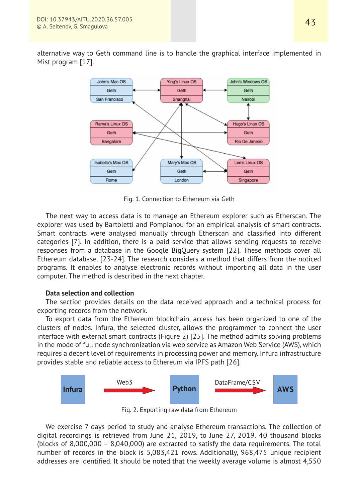alternative way to Geth command line is to handle the graphical interface implemented in Mist program [17].



Fig. 1. Connection to Ethereum via Geth

The next way to access data is to manage an Ethereum explorer such as Etherscan. The explorer was used by Bartoletti and Pompianou for an empirical analysis of smart contracts. Smart contracts were analysed manually through Etherscan and classified into different categories [7]. In addition, there is a paid service that allows sending requests to receive responses from a database in the Google BigQuery system [22]. These methods cover all Ethereum database. [23-24]. The research considers a method that differs from the noticed programs. It enables to analyse electronic records without importing all data in the user computer. The method is described in the next chapter.

# **Data selection and collection**

The section provides details on the data received approach and a technical process for exporting records from the network.

To export data from the Ethereum blockchain, access has been organized to one of the clusters of nodes. Infura, the selected cluster, allows the programmer to connect the user interface with external smart contracts (Figure 2) [25]. The method admits solving problems in the mode of full node synchronization via web service as Amazon Web Service (AWS), which requires a decent level of requirements in processing power and memory. Infura infrastructure provides stable and reliable access to Ethereum via IPFS path [26].



Fig. 2. Exporting raw data from Ethereum

We exercise 7 days period to study and analyse Ethereum transactions. The collection of digital recordings is retrieved from June 21, 2019, to June 27, 2019. 40 thousand blocks (blocks of 8,000,000 – 8,040,000) are extracted to satisfy the data requirements. The total number of records in the block is 5,083,421 rows. Additionally, 968,475 unique recipient addresses are identified. It should be noted that the weekly average volume is almost 4,550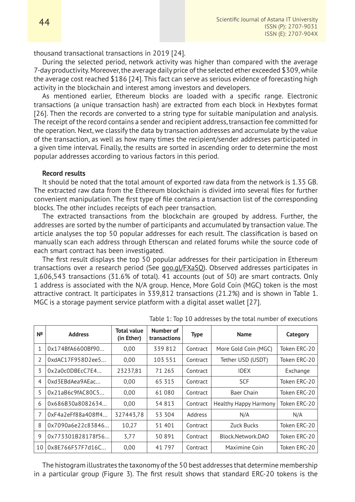thousand transactional transactions in 2019 [24].

During the selected period, network activity was higher than compared with the average 7-day productivity. Moreover, the average daily price of the selected ether exceeded \$309, while the average cost reached \$186 [24]. This fact can serve as serious evidence of forecasting high activity in the blockchain and interest among investors and developers.

As mentioned earlier, Ethereum blocks are loaded with a specific range. Electronic transactions (a unique transaction hash) are extracted from each block in Hexbytes format [26]. Then the records are converted to a string type for suitable manipulation and analysis. The receipt of the record contains a sender and recipient address, transaction fee committed for the operation. Next, we classify the data by transaction addresses and accumulate by the value of the transaction, as well as how many times the recipient/sender addresses participated in a given time interval. Finally, the results are sorted in ascending order to determine the most popular addresses according to various factors in this period.

# **Record results**

It should be noted that the total amount of exported raw data from the network is 1.35 GB. The extracted raw data from the Ethereum blockchain is divided into several files for further convenient manipulation. The first type of file contains a transaction list of the corresponding blocks. The other includes receipts of each peer transaction.

The extracted transactions from the blockchain are grouped by address. Further, the addresses are sorted by the number of participants and accumulated by transaction value. The article analyses the top 50 popular addresses for each result. The classification is based on manually scan each address through Etherscan and related forums while the source code of each smart contract has been investigated.

The first result displays the top 50 popular addresses for their participation in Ethereum transactions over a research period (See goo.gl/FXaSQ). Observed addresses participates in 1,606,543 transactions (31.6% of total). 41 accounts (out of 50) are smart contracts. Only 1 address is associated with the N/A group. Hence, More Gold Coin (MGC) token is the most attractive contract. It participates in 339,812 transactions (21.2%) and is shown in Table 1. MGC is a storage payment service platform with a digital asset wallet [27].

| Nº            | <b>Address</b>     | Total value<br>(in Ether) | Number of<br>transactions | <b>Type</b> | <b>Name</b>                  | Category     |
|---------------|--------------------|---------------------------|---------------------------|-------------|------------------------------|--------------|
| 1             | 0x174BfA6600Bf90   | 0,00                      | 339812                    | Contract    | More Gold Coin (MGC)         | Token ERC-20 |
| $\mathcal{I}$ | 0xdAC17F958D2ee5   | 0,00                      | 103 551                   | Contract    | Tether USD (USDT)            | Token ERC-20 |
| 3             | 0x2a0c0DBEcC7E4    | 23237,81                  | 71 265                    | Contract    | <b>IDEX</b>                  | Exchange     |
| 4             | 0xd3EBdAea9AEac    | 0,00                      | 65 315                    | Contract    | <b>SCF</b>                   | Token ERC-20 |
| 5             | 0x21aB6c9fAC80C5   | 0,00                      | 61 080                    | Contract    | <b>Baer Chain</b>            | Token ERC-20 |
| 6             | 0x686B30a8082634   | 0,00                      | 54 813                    | Contract    | <b>Healthy Happy Harmony</b> | Token ERC-20 |
| 7             | 0xF4a2eFf88a408ff4 | 327443,78                 | 53 304                    | Address     | N/A                          | N/A          |
| 8             | 0x7090a6e22c83846  | 10,27                     | 51 401                    | Contract    | <b>Zuck Bucks</b>            | Token ERC-20 |
| 9             | 0x773301B28178f56  | 3,77                      | 50 891                    | Contract    | Block.Network.DAO            | Token ERC-20 |
| 10            | 0x8E766F57F7d16C   | 0,00                      | 41 7 9 7                  | Contract    | Maximine Coin                | Token ERC-20 |

Table 1: Top 10 addresses by the total number of executions

The histogram illustrates the taxonomy of the 50 best addresses that determine membership in a particular group (Figure 3). The first result shows that standard ERC-20 tokens is the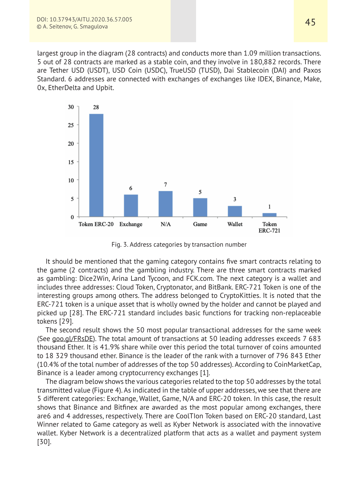largest group in the diagram (28 contracts) and conducts more than 1.09 million transactions. 5 out of 28 contracts are marked as a stable coin, and they involve in 180,882 records. There are Tether USD (USDT), USD Coin (USDC), TrueUSD (TUSD), Dai Stablecoin (DAI) and Paxos Standard. 6 addresses are connected with exchanges of exchanges like IDEX, Binance, Make, 0x, EtherDelta and Upbit.



Fig. 3. Address categories by transaction number

It should be mentioned that the gaming category contains five smart contracts relating to the game (2 contracts) and the gambling industry. There are three smart contracts marked as gambling: Dice2Win, Arina Land Tycoon, and FCK.com. The next category is a wallet and includes three addresses: Cloud Token, Cryptonator, and BitBank. ERC-721 Token is one of the interesting groups among others. The address belonged to CryptoKitties. It is noted that the ERC-721 token is a unique asset that is wholly owned by the holder and cannot be played and picked up [28]. The ERC-721 standard includes basic functions for tracking non-replaceable tokens [29].

The second result shows the 50 most popular transactional addresses for the same week (See goo.gl/FRsDE). The total amount of transactions at 50 leading addresses exceeds 7 683 thousand Ether. It is 41.9% share while over this period the total turnover of coins amounted to 18 329 thousand ether. Binance is the leader of the rank with a turnover of 796 843 Ether (10.4% of the total number of addresses of the top 50 addresses). According to CoinMarketCap, Binance is a leader among cryptocurrency exchanges [1].

The diagram below shows the various categories related to the top 50 addresses by the total transmitted value (Figure 4). As indicated in the table of upper addresses, we see that there are 5 different categories: Exchange, Wallet, Game, N/A and ERC-20 token. In this case, the result shows that Binance and Bitfinex are awarded as the most popular among exchanges, there are6 and 4 addresses, respectively. There are CoolTIon Token based on ERC-20 standard, Last Winner related to Game category as well as Kyber Network is associated with the innovative wallet. Kyber Network is a decentralized platform that acts as a wallet and payment system [30].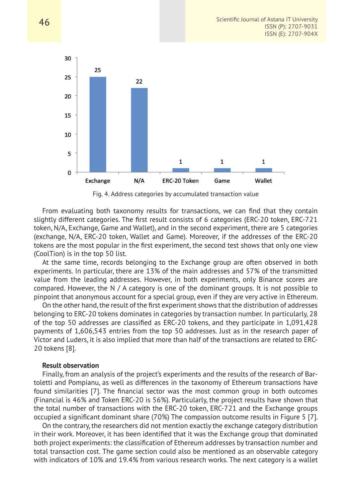

Fig. 4. Address categories by accumulated transaction value

From evaluating both taxonomy results for transactions, we can find that they contain slightly different categories. The first result consists of 6 categories (ERC-20 token, ERC-721 token, N/A, Exchange, Game and Wallet), and in the second experiment, there are 5 categories (exchange, N/A, ERC-20 token, Wallet and Game). Moreover, if the addresses of the ERC-20 tokens are the most popular in the first experiment, the second test shows that only one view (CoolTion) is in the top 50 list.

At the same time, records belonging to the Exchange group are often observed in both experiments. In particular, there are 13% of the main addresses and 57% of the transmitted value from the leading addresses. However, in both experiments, only Binance scores are compared. However, the N  $/$  A category is one of the dominant groups. It is not possible to pinpoint that anonymous account for a special group, even if they are very active in Ethereum.

On the other hand, the result of the first experiment shows that the distribution of addresses belonging to ERC-20 tokens dominates in categories by transaction number. In particularly, 28 of the top 50 addresses are classified as ERC-20 tokens, and they participate in 1,091,428 payments of 1,606,543 entries from the top 50 addresses. Just as in the research paper of Victor and Luders, it is also implied that more than half of the transactions are related to ERC-20 tokens [8].

#### **Result observation**

Finally, from an analysis of the project's experiments and the results of the research of Bartoletti and Pompianu, as well as differences in the taxonomy of Ethereum transactions have found similarities [7]. The financial sector was the most common group in both outcomes (Financial is 46% and Token ERC-20 is 56%). Particularly, the project results have shown that the total number of transactions with the ERC-20 token, ERC-721 and the Exchange groups occupied a significant dominant share (70%) The compassion outcome results in Figure 5 [7].

On the contrary, the researchers did not mention exactly the exchange category distribution in their work. Moreover, it has been identified that it was the Exchange group that dominated both project experiments: the classification of Ethereum addresses by transaction number and total transaction cost. The game section could also be mentioned as an observable category with indicators of 10% and 19.4% from various research works. The next category is a wallet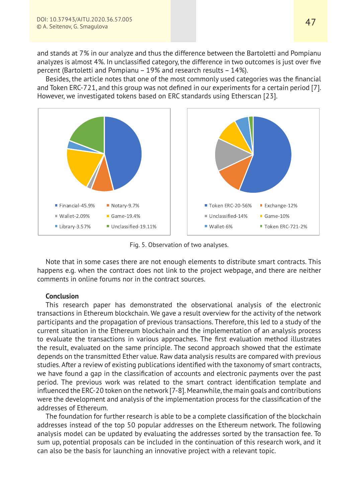and stands at 7% in our analyze and thus the difference between the Bartoletti and Pompianu analyzes is almost 4%. In unclassified category, the difference in two outcomes is just over five percent (Bartoletti and Pompianu – 19% and research results – 14%).

Besides, the article notes that one of the most commonly used categories was the financial and Token ERC-721, and this group was not defined in our experiments for a certain period [7]. However, we investigated tokens based on ERC standards using Etherscan [23].



Fig. 5. Observation of two analyses.

Note that in some cases there are not enough elements to distribute smart contracts. This happens e.g. when the contract does not link to the project webpage, and there are neither comments in online forums nor in the contract sources.

# **Conclusion**

This research paper has demonstrated the observational analysis of the electronic transactions in Ethereum blockchain. We gave a result overview for the activity of the network participants and the propagation of previous transactions. Therefore, this led to a study of the current situation in the Ethereum blockchain and the implementation of an analysis process to evaluate the transactions in various approaches. The first evaluation method illustrates the result, evaluated on the same principle. The second approach showed that the estimate depends on the transmitted Ether value. Raw data analysis results are compared with previous studies. After a review of existing publications identified with the taxonomy of smart contracts, we have found a gap in the classification of accounts and electronic payments over the past period. The previous work was related to the smart contract identification template and influenced the ERC-20 token on the network [7-8]. Meanwhile, the main goals and contributions were the development and analysis of the implementation process for the classification of the addresses of Ethereum.

The foundation for further research is able to be a complete classification of the blockchain addresses instead of the top 50 popular addresses on the Ethereum network. The following analysis model can be updated by evaluating the addresses sorted by the transaction fee. To sum up, potential proposals can be included in the continuation of this research work, and it can also be the basis for launching an innovative project with a relevant topic.